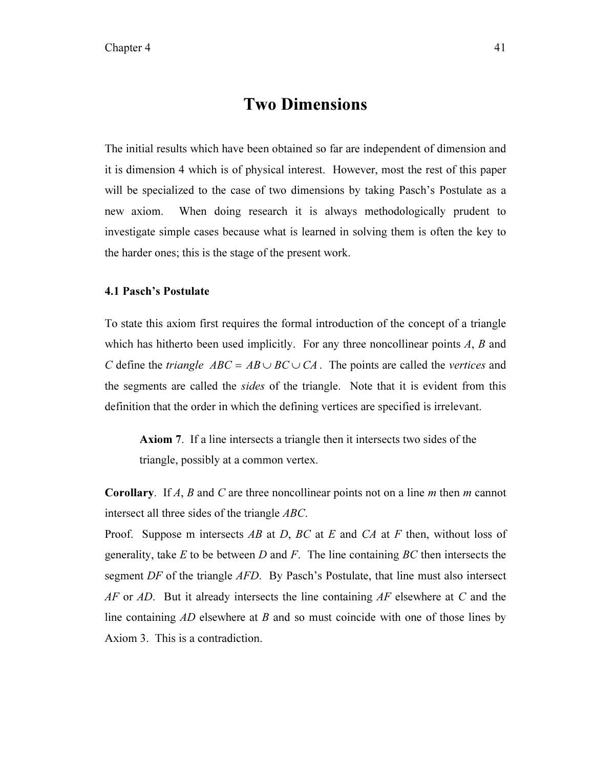## Two Dimensions

The initial results which have been obtained so far are independent of dimension and it is dimension 4 which is of physical interest. However, most the rest of this paper will be specialized to the case of two dimensions by taking Pasch's Postulate as a new axiom. When doing research it is always methodologically prudent to investigate simple cases because what is learned in solving them is often the key to the harder ones; this is the stage of the present work.

## 4.1 Pasch's Postulate

To state this axiom first requires the formal introduction of the concept of a triangle which has hitherto been used implicitly. For any three noncollinear points  $A, B$  and C define the *triangle ABC* =  $AB \cup BC \cup CA$ . The points are called the *vertices* and the segments are called the sides of the triangle. Note that it is evident from this definition that the order in which the defining vertices are specified is irrelevant.

Axiom 7. If a line intersects a triangle then it intersects two sides of the triangle, possibly at a common vertex.

Corollary. If A, B and C are three noncollinear points not on a line m then m cannot intersect all three sides of the triangle ABC.

Proof. Suppose m intersects AB at D, BC at E and CA at F then, without loss of generality, take  $E$  to be between  $D$  and  $F$ . The line containing  $BC$  then intersects the segment  $DF$  of the triangle  $AFD$ . By Pasch's Postulate, that line must also intersect  $AF$  or  $AD$ . But it already intersects the line containing  $AF$  elsewhere at C and the line containing AD elsewhere at B and so must coincide with one of those lines by Axiom 3. This is a contradiction.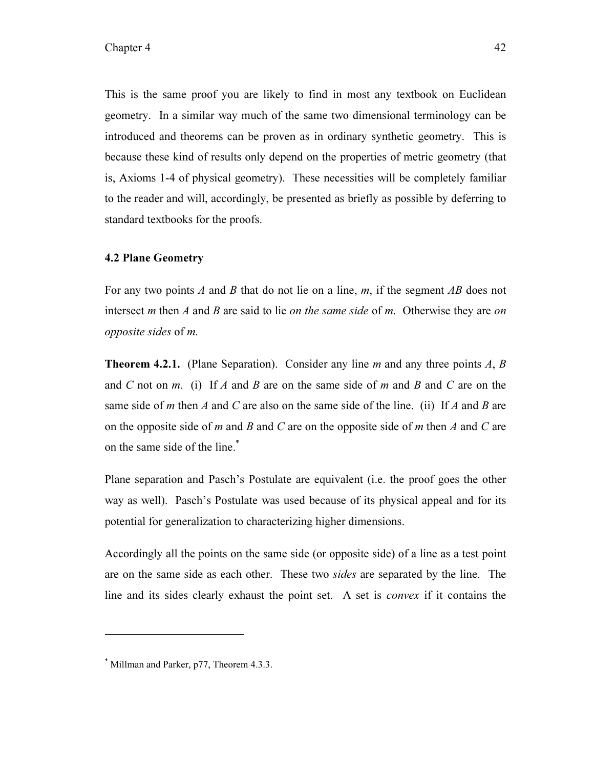This is the same proof you are likely to find in most any textbook on Euclidean geometry. In a similar way much of the same two dimensional terminology can be introduced and theorems can be proven as in ordinary synthetic geometry. This is because these kind of results only depend on the properties of metric geometry (that is, Axioms 1-4 of physical geometry). These necessities will be completely familiar to the reader and will, accordingly, be presented as briefly as possible by deferring to standard textbooks for the proofs.

## 4.2 Plane Geometry

For any two points  $A$  and  $B$  that do not lie on a line,  $m$ , if the segment  $AB$  does not intersect m then A and B are said to lie on the same side of m. Otherwise they are on opposite sides of m.

**Theorem 4.2.1.** (Plane Separation). Consider any line m and any three points  $A, B$ and C not on m. (i) If A and B are on the same side of m and B and C are on the same side of m then A and C are also on the same side of the line. (ii) If A and B are on the opposite side of m and B and C are on the opposite side of m then A and C are on the same side of the line.

Plane separation and Pasch's Postulate are equivalent (i.e. the proof goes the other way as well). Pasch's Postulate was used because of its physical appeal and for its potential for generalization to characterizing higher dimensions.

Accordingly all the points on the same side (or opposite side) of a line as a test point are on the same side as each other. These two *sides* are separated by the line. The line and its sides clearly exhaust the point set. A set is convex if it contains the

ī

 Millman and Parker, p77, Theorem 4.3.3.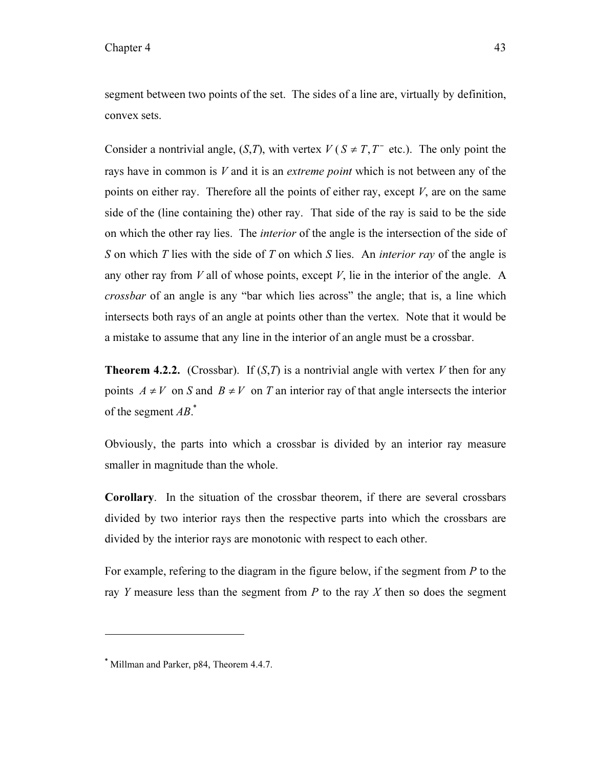segment between two points of the set. The sides of a line are, virtually by definition, convex sets.

Consider a nontrivial angle,  $(S,T)$ , with vertex  $V(S \neq T, T^-$  etc.). The only point the rays have in common is V and it is an *extreme point* which is not between any of the points on either ray. Therefore all the points of either ray, except  $V$ , are on the same side of the (line containing the) other ray. That side of the ray is said to be the side on which the other ray lies. The *interior* of the angle is the intersection of the side of S on which T lies with the side of T on which S lies. An *interior ray* of the angle is any other ray from  $V$  all of whose points, except  $V$ , lie in the interior of the angle. A crossbar of an angle is any "bar which lies across" the angle; that is, a line which intersects both rays of an angle at points other than the vertex. Note that it would be a mistake to assume that any line in the interior of an angle must be a crossbar.

**Theorem 4.2.2.** (Crossbar). If  $(S,T)$  is a nontrivial angle with vertex V then for any points  $A \neq V$  on S and  $B \neq V$  on T an interior ray of that angle intersects the interior of the segment  $AB$ .

Obviously, the parts into which a crossbar is divided by an interior ray measure smaller in magnitude than the whole.

Corollary. In the situation of the crossbar theorem, if there are several crossbars divided by two interior rays then the respective parts into which the crossbars are divided by the interior rays are monotonic with respect to each other.

For example, refering to the diagram in the figure below, if the segment from P to the ray Y measure less than the segment from  $P$  to the ray  $X$  then so does the segment

ī

 Millman and Parker, p84, Theorem 4.4.7.